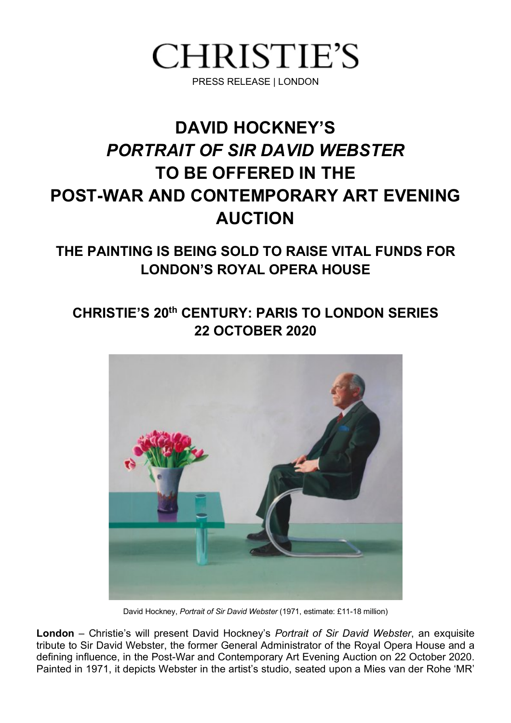

# **DAVID HOCKNEY'S**  *PORTRAIT OF SIR DAVID WEBSTER* **TO BE OFFERED IN THE POST-WAR AND CONTEMPORARY ART EVENING AUCTION**

**THE PAINTING IS BEING SOLD TO RAISE VITAL FUNDS FOR LONDON'S ROYAL OPERA HOUSE**

# **CHRISTIE'S 20th CENTURY: PARIS TO LONDON SERIES 22 OCTOBER 2020**



 David Hockney, *Portrait of Sir David Webster* (1971, estimate: £11-18 million)

**London** – Christie's will present David Hockney's *Portrait of Sir David Webster*, an exquisite tribute to Sir David Webster, the former General Administrator of the Royal Opera House and a defining influence, in the Post-War and Contemporary Art Evening Auction on 22 October 2020. Painted in 1971, it depicts Webster in the artist's studio, seated upon a Mies van der Rohe 'MR'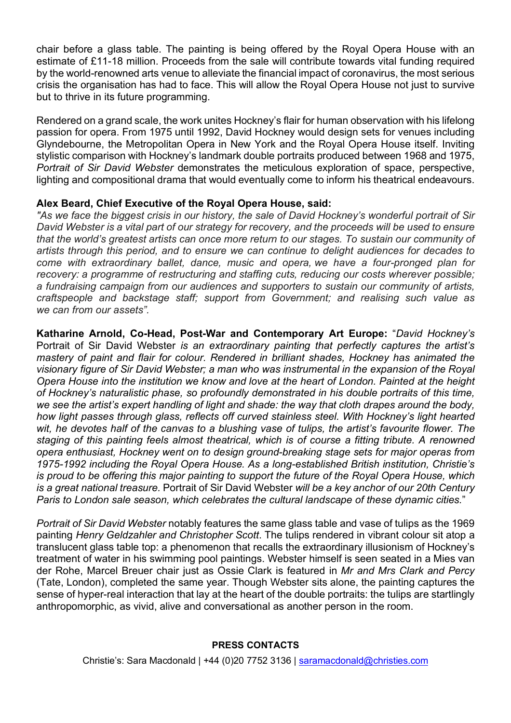chair before a glass table. The painting is being offered by the Royal Opera House with an estimate of £11-18 million. Proceeds from the sale will contribute towards vital funding required by the world-renowned arts venue to alleviate the financial impact of coronavirus, the most serious crisis the organisation has had to face. This will allow the Royal Opera House not just to survive but to thrive in its future programming.

Rendered on a grand scale, the work unites Hockney's flair for human observation with his lifelong passion for opera. From 1975 until 1992, David Hockney would design sets for venues including Glyndebourne, the Metropolitan Opera in New York and the Royal Opera House itself. Inviting stylistic comparison with Hockney's landmark double portraits produced between 1968 and 1975, *Portrait of Sir David Webster* demonstrates the meticulous exploration of space, perspective, lighting and compositional drama that would eventually come to inform his theatrical endeavours.

## **Alex Beard, Chief Executive of the Royal Opera House, said:**

"As we face the biggest crisis in our history, the sale of David Hockney's wonderful portrait of Sir David Webster is a vital part of our strategy for recovery, and the proceeds will be used to ensure *that the world's greatest artists can once more return to our stages. To sustain our community of artists through this period, and to ensure we can continue to delight audiences for decades to come with extraordinary ballet, dance, music and opera, we have a four-pronged plan for recovery: a programme of restructuring and staffing cuts, reducing our costs wherever possible; a fundraising campaign from our audiences and supporters to sustain our community of artists, craftspeople and backstage staff; support from Government; and realising such value as we can from our assets".*

**Katharine Arnold, Co-Head, Post-War and Contemporary Art Europe:** "*David Hockney's*  Portrait of Sir David Webster *is an extraordinary painting that perfectly captures the artist's mastery of paint and flair for colour. Rendered in brilliant shades, Hockney has animated the visionary figure of Sir David Webster; a man who was instrumental in the expansion of the Royal Opera House into the institution we know and love at the heart of London. Painted at the height of Hockney's naturalistic phase, so profoundly demonstrated in his double portraits of this time, we see the artist's expert handling of light and shade: the way that cloth drapes around the body, how light passes through glass, reflects off curved stainless steel. With Hockney's light hearted*  wit, he devotes half of the canvas to a blushing vase of tulips, the artist's favourite flower. The *staging of this painting feels almost theatrical, which is of course a fitting tribute. A renowned opera enthusiast, Hockney went on to design ground-breaking stage sets for major operas from 1975-1992 including the Royal Opera House. As a long-established British institution, Christie's is proud to be offering this major painting to support the future of the Royal Opera House, which is a great national treasure.* Portrait of Sir David Webster *will be a key anchor of our 20th Century Paris to London sale season, which celebrates the cultural landscape of these dynamic cities.*"

*Portrait of Sir David Webster* notably features the same glass table and vase of tulips as the 1969 painting *Henry Geldzahler and Christopher Scott*. The tulips rendered in vibrant colour sit atop a translucent glass table top: a phenomenon that recalls the extraordinary illusionism of Hockney's treatment of water in his swimming pool paintings. Webster himself is seen seated in a Mies van der Rohe, Marcel Breuer chair just as Ossie Clark is featured in *Mr and Mrs Clark and Percy*  (Tate, London), completed the same year. Though Webster sits alone, the painting captures the sense of hyper-real interaction that lay at the heart of the double portraits: the tulips are startlingly anthropomorphic, as vivid, alive and conversational as another person in the room.

### **PRESS CONTACTS**

Christie's: Sara Macdonald | +44 (0)20 7752 3136 | saramacdonald@christies.com